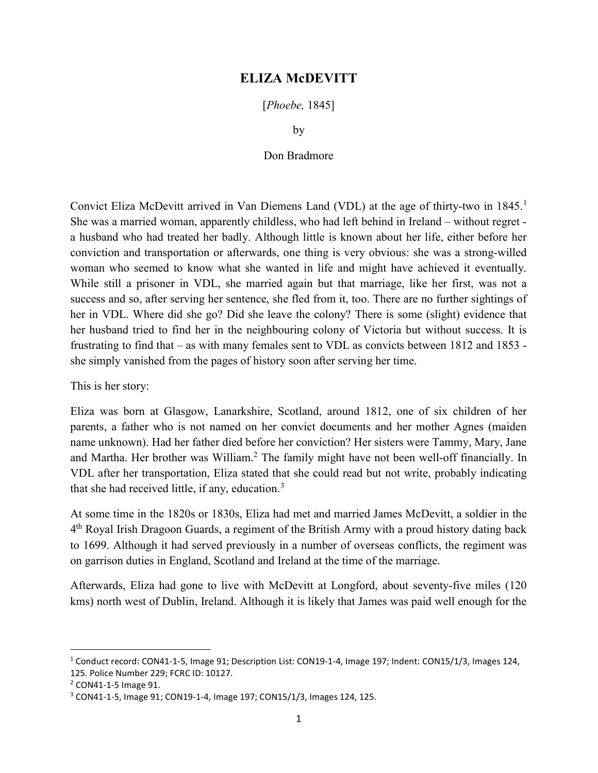## ELIZA McDEVITT

[Phoebe, 1845]

by

## Don Bradmore

Convict Eliza McDevitt arrived in Van Diemens Land (VDL) at the age of thirty-two in 1845.<sup>1</sup> She was a married woman, apparently childless, who had left behind in Ireland – without regret a husband who had treated her badly. Although little is known about her life, either before her conviction and transportation or afterwards, one thing is very obvious: she was a strong-willed woman who seemed to know what she wanted in life and might have achieved it eventually. While still a prisoner in VDL, she married again but that marriage, like her first, was not a success and so, after serving her sentence, she fled from it, too. There are no further sightings of her in VDL. Where did she go? Did she leave the colony? There is some (slight) evidence that her husband tried to find her in the neighbouring colony of Victoria but without success. It is frustrating to find that – as with many females sent to VDL as convicts between 1812 and 1853 she simply vanished from the pages of history soon after serving her time.

This is her story:

Eliza was born at Glasgow, Lanarkshire, Scotland, around 1812, one of six children of her parents, a father who is not named on her convict documents and her mother Agnes (maiden name unknown). Had her father died before her conviction? Her sisters were Tammy, Mary, Jane and Martha. Her brother was William.<sup>2</sup> The family might have not been well-off financially. In VDL after her transportation, Eliza stated that she could read but not write, probably indicating that she had received little, if any, education. $3$ 

At some time in the 1820s or 1830s, Eliza had met and married James McDevitt, a soldier in the 4<sup>th</sup> Royal Irish Dragoon Guards, a regiment of the British Army with a proud history dating back to 1699. Although it had served previously in a number of overseas conflicts, the regiment was on garrison duties in England, Scotland and Ireland at the time of the marriage.

Afterwards, Eliza had gone to live with McDevitt at Longford, about seventy-five miles (120 kms) north west of Dublin, Ireland. Although it is likely that James was paid well enough for the

<sup>1</sup> Conduct record: CON41-1-5, Image 91; Description List: CON19-1-4, Image 197; Indent: CON15/1/3, Images 124, 125. Police Number 229; FCRC ID: 10127.

<sup>2</sup> CON41-1-5 Image 91.

<sup>3</sup> CON41-1-5, Image 91; CON19-1-4, Image 197; CON15/1/3, Images 124, 125.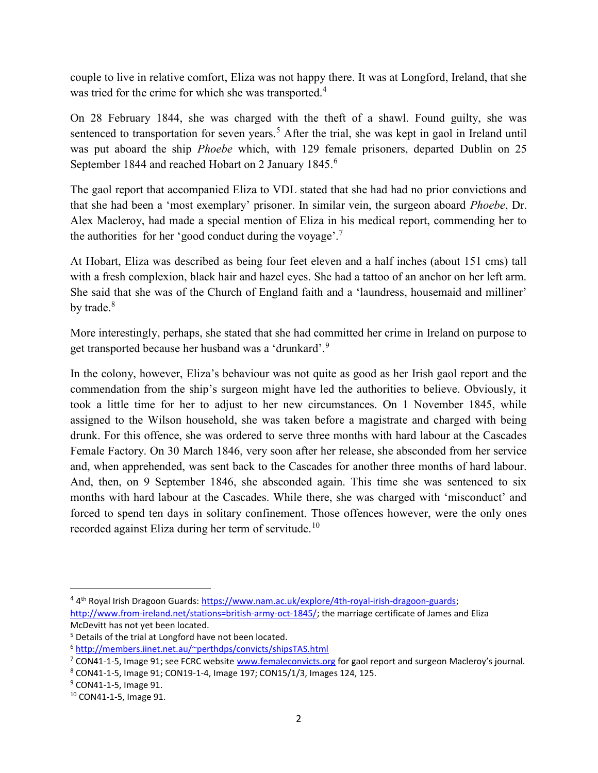couple to live in relative comfort, Eliza was not happy there. It was at Longford, Ireland, that she was tried for the crime for which she was transported.<sup>4</sup>

On 28 February 1844, she was charged with the theft of a shawl. Found guilty, she was sentenced to transportation for seven years.<sup>5</sup> After the trial, she was kept in gaol in Ireland until was put aboard the ship Phoebe which, with 129 female prisoners, departed Dublin on 25 September 1844 and reached Hobart on 2 January 1845.<sup>6</sup>

The gaol report that accompanied Eliza to VDL stated that she had had no prior convictions and that she had been a 'most exemplary' prisoner. In similar vein, the surgeon aboard Phoebe, Dr. Alex Macleroy, had made a special mention of Eliza in his medical report, commending her to the authorities for her 'good conduct during the voyage'.<sup>7</sup>

At Hobart, Eliza was described as being four feet eleven and a half inches (about 151 cms) tall with a fresh complexion, black hair and hazel eyes. She had a tattoo of an anchor on her left arm. She said that she was of the Church of England faith and a 'laundress, housemaid and milliner' by trade. $8<sup>8</sup>$ 

More interestingly, perhaps, she stated that she had committed her crime in Ireland on purpose to get transported because her husband was a 'drunkard'.<sup>9</sup>

In the colony, however, Eliza's behaviour was not quite as good as her Irish gaol report and the commendation from the ship's surgeon might have led the authorities to believe. Obviously, it took a little time for her to adjust to her new circumstances. On 1 November 1845, while assigned to the Wilson household, she was taken before a magistrate and charged with being drunk. For this offence, she was ordered to serve three months with hard labour at the Cascades Female Factory. On 30 March 1846, very soon after her release, she absconded from her service and, when apprehended, was sent back to the Cascades for another three months of hard labour. And, then, on 9 September 1846, she absconded again. This time she was sentenced to six months with hard labour at the Cascades. While there, she was charged with 'misconduct' and forced to spend ten days in solitary confinement. Those offences however, were the only ones recorded against Eliza during her term of servitude.<sup>10</sup>

<sup>&</sup>lt;sup>4</sup> 4<sup>th</sup> Royal Irish Dragoon Guards: https://www.nam.ac.uk/explore/4th-royal-irish-dragoon-guards; http://www.from-ireland.net/stations=british-army-oct-1845/; the marriage certificate of James and Eliza McDevitt has not yet been located.

<sup>&</sup>lt;sup>5</sup> Details of the trial at Longford have not been located.

<sup>6</sup> http://members.iinet.net.au/~perthdps/convicts/shipsTAS.html

<sup>&</sup>lt;sup>7</sup> CON41-1-5, Image 91; see FCRC website www.femaleconvicts.org for gaol report and surgeon Macleroy's journal.

<sup>8</sup> CON41-1-5, Image 91; CON19-1-4, Image 197; CON15/1/3, Images 124, 125.

<sup>&</sup>lt;sup>9</sup> CON41-1-5, Image 91.

<sup>10</sup> CON41-1-5, Image 91.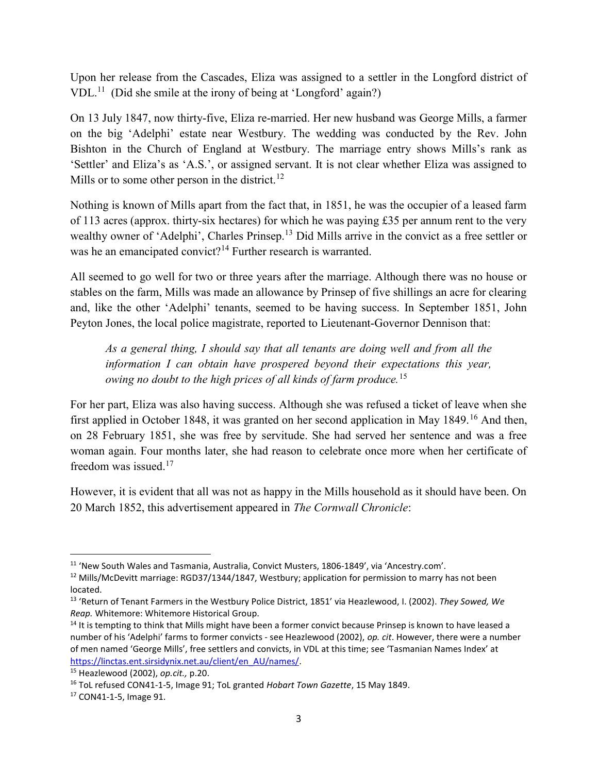Upon her release from the Cascades, Eliza was assigned to a settler in the Longford district of  $VDL<sup>11</sup>$  (Did she smile at the irony of being at 'Longford' again?)

On 13 July 1847, now thirty-five, Eliza re-married. Her new husband was George Mills, a farmer on the big 'Adelphi' estate near Westbury. The wedding was conducted by the Rev. John Bishton in the Church of England at Westbury. The marriage entry shows Mills's rank as 'Settler' and Eliza's as 'A.S.', or assigned servant. It is not clear whether Eliza was assigned to Mills or to some other person in the district.<sup>12</sup>

Nothing is known of Mills apart from the fact that, in 1851, he was the occupier of a leased farm of 113 acres (approx. thirty-six hectares) for which he was paying £35 per annum rent to the very wealthy owner of 'Adelphi', Charles Prinsep.<sup>13</sup> Did Mills arrive in the convict as a free settler or was he an emancipated convict?<sup>14</sup> Further research is warranted.

All seemed to go well for two or three years after the marriage. Although there was no house or stables on the farm, Mills was made an allowance by Prinsep of five shillings an acre for clearing and, like the other 'Adelphi' tenants, seemed to be having success. In September 1851, John Peyton Jones, the local police magistrate, reported to Lieutenant-Governor Dennison that:

As a general thing, I should say that all tenants are doing well and from all the information I can obtain have prospered beyond their expectations this year, owing no doubt to the high prices of all kinds of farm produce.<sup>15</sup>

For her part, Eliza was also having success. Although she was refused a ticket of leave when she first applied in October 1848, it was granted on her second application in May 1849.<sup>16</sup> And then, on 28 February 1851, she was free by servitude. She had served her sentence and was a free woman again. Four months later, she had reason to celebrate once more when her certificate of freedom was issued.<sup>17</sup>

However, it is evident that all was not as happy in the Mills household as it should have been. On 20 March 1852, this advertisement appeared in The Cornwall Chronicle:

<sup>&</sup>lt;sup>11</sup> 'New South Wales and Tasmania, Australia, Convict Musters, 1806-1849', via 'Ancestry.com'.

<sup>&</sup>lt;sup>12</sup> Mills/McDevitt marriage: RGD37/1344/1847, Westbury; application for permission to marry has not been located.

<sup>&</sup>lt;sup>13</sup> 'Return of Tenant Farmers in the Westbury Police District, 1851' via Heazlewood, I. (2002). They Sowed, We Reap. Whitemore: Whitemore Historical Group.

<sup>&</sup>lt;sup>14</sup> It is tempting to think that Mills might have been a former convict because Prinsep is known to have leased a number of his 'Adelphi' farms to former convicts - see Heazlewood (2002), op. cit. However, there were a number of men named 'George Mills', free settlers and convicts, in VDL at this time; see 'Tasmanian Names Index' at https://linctas.ent.sirsidynix.net.au/client/en\_AU/names/.

 $15$  Heazlewood (2002), op.cit., p.20.

<sup>&</sup>lt;sup>16</sup> ToL refused CON41-1-5, Image 91; ToL granted Hobart Town Gazette, 15 May 1849.

<sup>17</sup> CON41-1-5, Image 91.